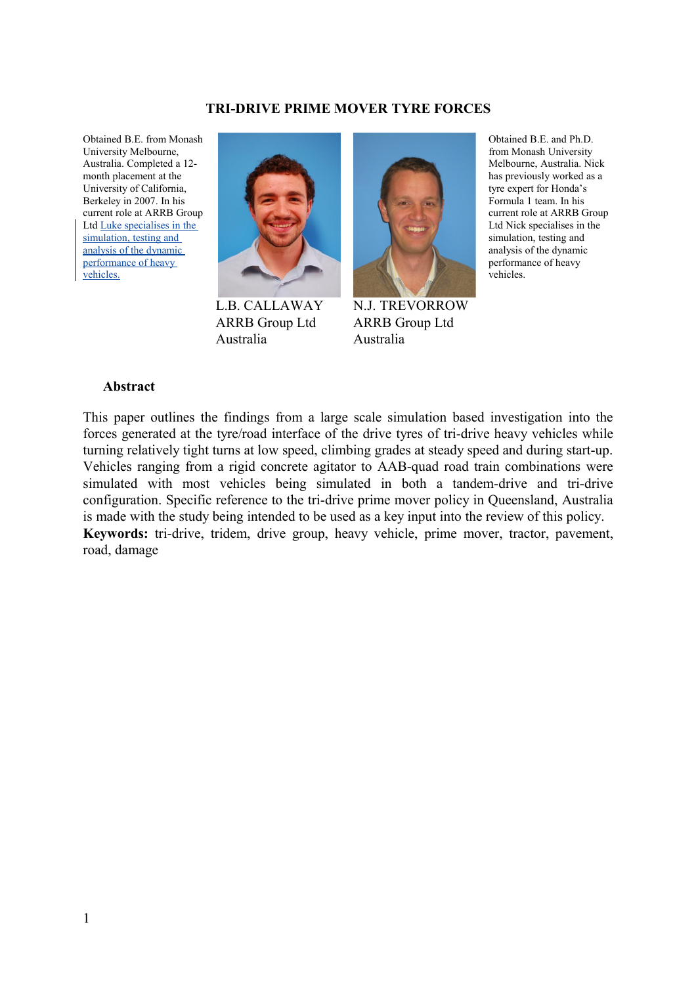#### **TRI-DRIVE PRIME MOVER TYRE FORCES**

Obtained B.E. from Monash University Melbourne, Australia. Completed a 12 month placement at the University of California, Berkeley in 2007. In his current role at ARRB Group Ltd Luke specialises in the simulation, testing and analysis of the dynamic performance of heavy vehicles.



L.B. CALLAWAY ARRB Group Ltd Australia



N.J. TREVORROW ARRB Group Ltd Australia

Obtained B.E. and Ph.D. from Monash University Melbourne, Australia. Nick has previously worked as a tyre expert for Honda's Formula 1 team. In his current role at ARRB Group Ltd Nick specialises in the simulation, testing and analysis of the dynamic performance of heavy vehicles.

#### **Abstract**

This paper outlines the findings from a large scale simulation based investigation into the forces generated at the tyre/road interface of the drive tyres of tri-drive heavy vehicles while turning relatively tight turns at low speed, climbing grades at steady speed and during start-up. Vehicles ranging from a rigid concrete agitator to AAB-quad road train combinations were simulated with most vehicles being simulated in both a tandem-drive and tri-drive configuration. Specific reference to the tri-drive prime mover policy in Queensland, Australia is made with the study being intended to be used as a key input into the review of this policy. **Keywords:** tri-drive, tridem, drive group, heavy vehicle, prime mover, tractor, pavement, road, damage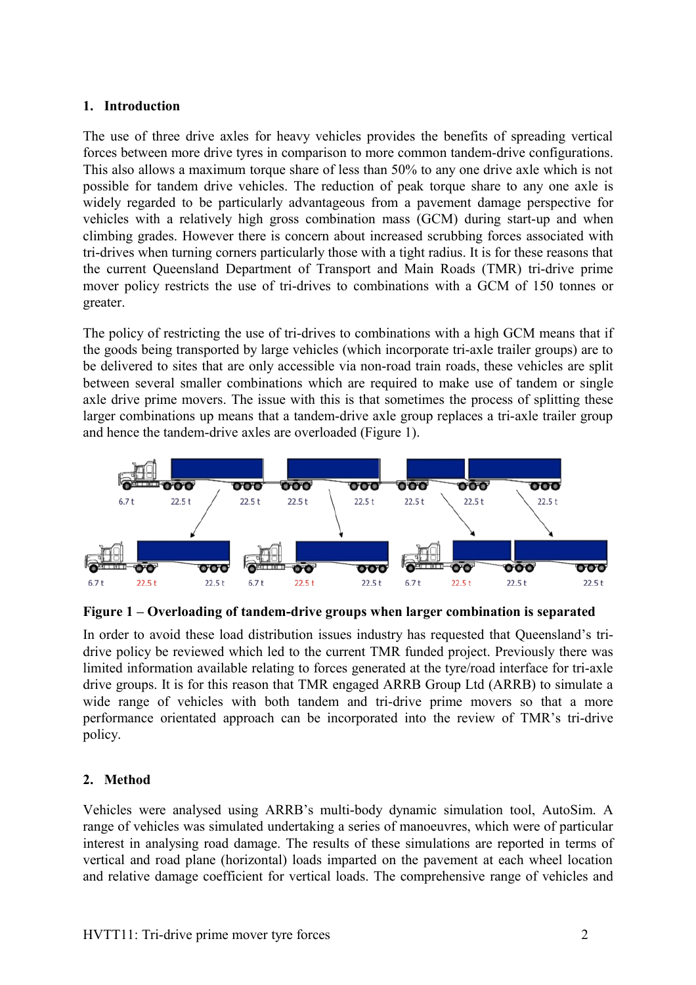## **1. Introduction**

The use of three drive axles for heavy vehicles provides the benefits of spreading vertical forces between more drive tyres in comparison to more common tandem-drive configurations. This also allows a maximum torque share of less than 50% to any one drive axle which is not possible for tandem drive vehicles. The reduction of peak torque share to any one axle is widely regarded to be particularly advantageous from a pavement damage perspective for vehicles with a relatively high gross combination mass (GCM) during start-up and when climbing grades. However there is concern about increased scrubbing forces associated with tri-drives when turning corners particularly those with a tight radius. It is for these reasons that the current Queensland Department of Transport and Main Roads (TMR) tri-drive prime mover policy restricts the use of tri-drives to combinations with a GCM of 150 tonnes or greater.

The policy of restricting the use of tri-drives to combinations with a high GCM means that if the goods being transported by large vehicles (which incorporate tri-axle trailer groups) are to be delivered to sites that are only accessible via non-road train roads, these vehicles are split between several smaller combinations which are required to make use of tandem or single axle drive prime movers. The issue with this is that sometimes the process of splitting these larger combinations up means that a tandem-drive axle group replaces a tri-axle trailer group and hence the tandem-drive axles are overloaded (Figure 1).





In order to avoid these load distribution issues industry has requested that Queensland's tridrive policy be reviewed which led to the current TMR funded project. Previously there was limited information available relating to forces generated at the tyre/road interface for tri-axle drive groups. It is for this reason that TMR engaged ARRB Group Ltd (ARRB) to simulate a wide range of vehicles with both tandem and tri-drive prime movers so that a more performance orientated approach can be incorporated into the review of TMR's tri-drive policy.

## **2. Method**

Vehicles were analysed using ARRB's multi-body dynamic simulation tool, AutoSim. A range of vehicles was simulated undertaking a series of manoeuvres, which were of particular interest in analysing road damage. The results of these simulations are reported in terms of vertical and road plane (horizontal) loads imparted on the pavement at each wheel location and relative damage coefficient for vertical loads. The comprehensive range of vehicles and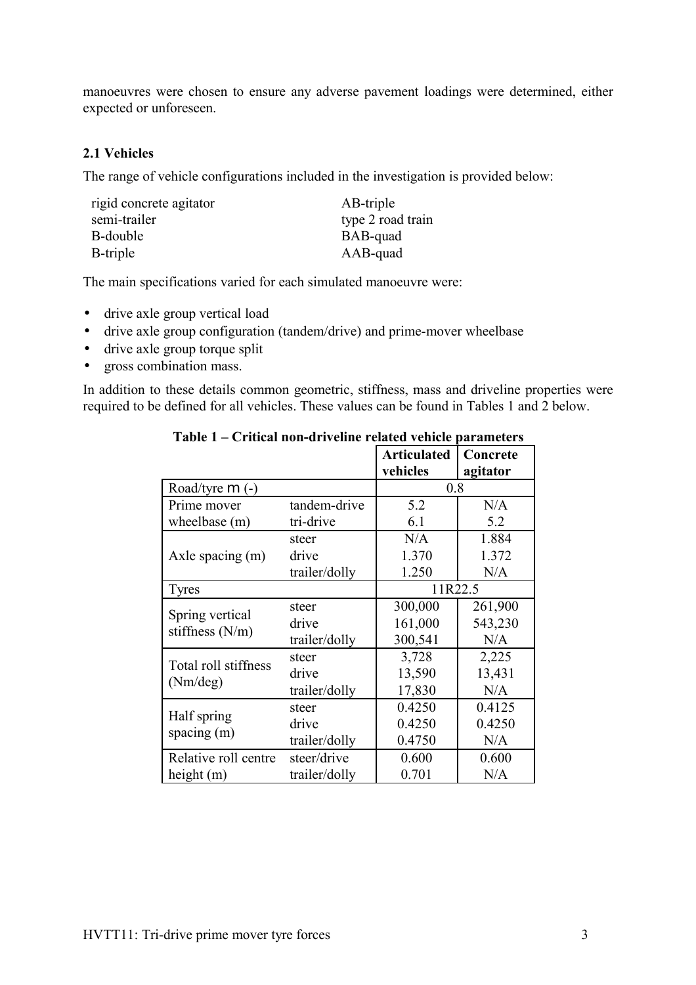manoeuvres were chosen to ensure any adverse pavement loadings were determined, either expected or unforeseen.

## **2.1 Vehicles**

The range of vehicle configurations included in the investigation is provided below:

| AB-triple         |
|-------------------|
| type 2 road train |
| BAB-quad          |
| AAB-quad          |
|                   |

The main specifications varied for each simulated manoeuvre were:

- drive axle group vertical load
- drive axle group configuration (tandem/drive) and prime-mover wheelbase
- drive axle group torque split
- gross combination mass.

In addition to these details common geometric, stiffness, mass and driveline properties were required to be defined for all vehicles. These values can be found in Tables 1 and 2 below.

|                      |               | <b>Articulated</b> | Concrete |  |
|----------------------|---------------|--------------------|----------|--|
|                      |               | vehicles           | agitator |  |
| Road/tyre $m$ (-)    |               | 0.8                |          |  |
| Prime mover          | tandem-drive  | 5.2                | N/A      |  |
| wheelbase (m)        | tri-drive     | 6.1                | 5.2      |  |
|                      | steer         | N/A                | 1.884    |  |
| Axle spacing $(m)$   | drive         | 1.370              | 1.372    |  |
|                      | trailer/dolly | 1.250              | N/A      |  |
| <b>Tyres</b>         |               | 11R22.5            |          |  |
|                      | steer         | 300,000            | 261,900  |  |
| Spring vertical      | drive         | 161,000            | 543,230  |  |
| stiffness $(N/m)$    | trailer/dolly | 300,541            | N/A      |  |
|                      | steer         | 3,728              | 2,225    |  |
| Total roll stiffness | drive         | 13,590             | 13,431   |  |
| (Nm/deg)             | trailer/dolly | 17,830             | N/A      |  |
|                      | steer         | 0.4250             | 0.4125   |  |
| Half spring          | drive         | 0.4250             | 0.4250   |  |
| spacing $(m)$        | trailer/dolly | 0.4750             | N/A      |  |
| Relative roll centre | steer/drive   | 0.600              | 0.600    |  |
| height $(m)$         | trailer/dolly | 0.701              | N/A      |  |

<span id="page-2-0"></span>**Table 1 – Critical non-driveline related vehicle parameters**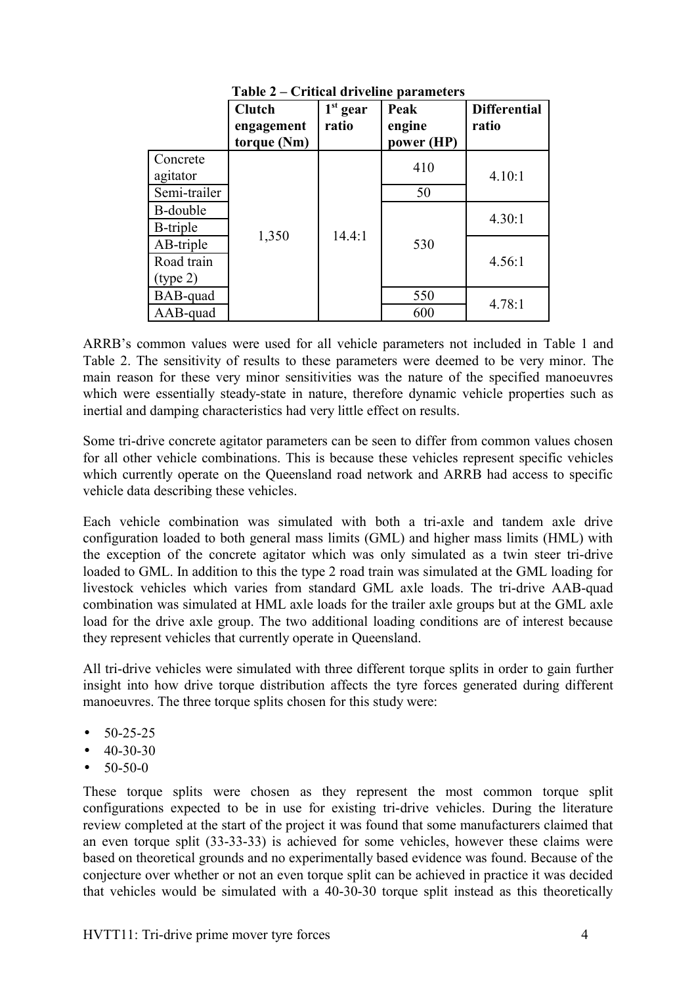|                  | <b>Clutch</b><br>engagement<br>torque (Nm) | $1st$ gear<br>ratio | Peak<br>engine<br>power (HP) | <b>Differential</b><br>ratio |
|------------------|--------------------------------------------|---------------------|------------------------------|------------------------------|
| Concrete         |                                            |                     | 410                          |                              |
| agitator         |                                            |                     |                              | 4.10:1                       |
| Semi-trailer     |                                            |                     | 50                           |                              |
| B-double         |                                            |                     |                              | 4.30:1                       |
| <b>B</b> -triple |                                            | 14.4:1              |                              |                              |
| AB-triple        | 1,350                                      |                     | 530                          |                              |
| Road train       |                                            |                     |                              | 4.56:1                       |
| (type 2)         |                                            |                     |                              |                              |
| BAB-quad         |                                            |                     | 550                          | 4.78:1                       |
| AAB-quad         |                                            |                     | 600                          |                              |

<span id="page-3-0"></span>**Table 2 – Critical driveline parameters**

ARRB's common values were used for all vehicle parameters not included in [Table 1](#page-2-0) and [Table 2.](#page-3-0) The sensitivity of results to these parameters were deemed to be very minor. The main reason for these very minor sensitivities was the nature of the specified manoeuvres which were essentially steady-state in nature, therefore dynamic vehicle properties such as inertial and damping characteristics had very little effect on results.

Some tri-drive concrete agitator parameters can be seen to differ from common values chosen for all other vehicle combinations. This is because these vehicles represent specific vehicles which currently operate on the Queensland road network and ARRB had access to specific vehicle data describing these vehicles.

Each vehicle combination was simulated with both a tri-axle and tandem axle drive configuration loaded to both general mass limits (GML) and higher mass limits (HML) with the exception of the concrete agitator which was only simulated as a twin steer tri-drive loaded to GML. In addition to this the type 2 road train was simulated at the GML loading for livestock vehicles which varies from standard GML axle loads. The tri-drive AAB-quad combination was simulated at HML axle loads for the trailer axle groups but at the GML axle load for the drive axle group. The two additional loading conditions are of interest because they represent vehicles that currently operate in Queensland.

All tri-drive vehicles were simulated with three different torque splits in order to gain further insight into how drive torque distribution affects the tyre forces generated during different manoeuvres. The three torque splits chosen for this study were:

- 50-25-25
- $\bullet$  40-30-30
- $50-50-0$

These torque splits were chosen as they represent the most common torque split configurations expected to be in use for existing tri-drive vehicles. During the literature review completed at the start of the project it was found that some manufacturers claimed that an even torque split (33-33-33) is achieved for some vehicles, however these claims were based on theoretical grounds and no experimentally based evidence was found. Because of the conjecture over whether or not an even torque split can be achieved in practice it was decided that vehicles would be simulated with a 40-30-30 torque split instead as this theoretically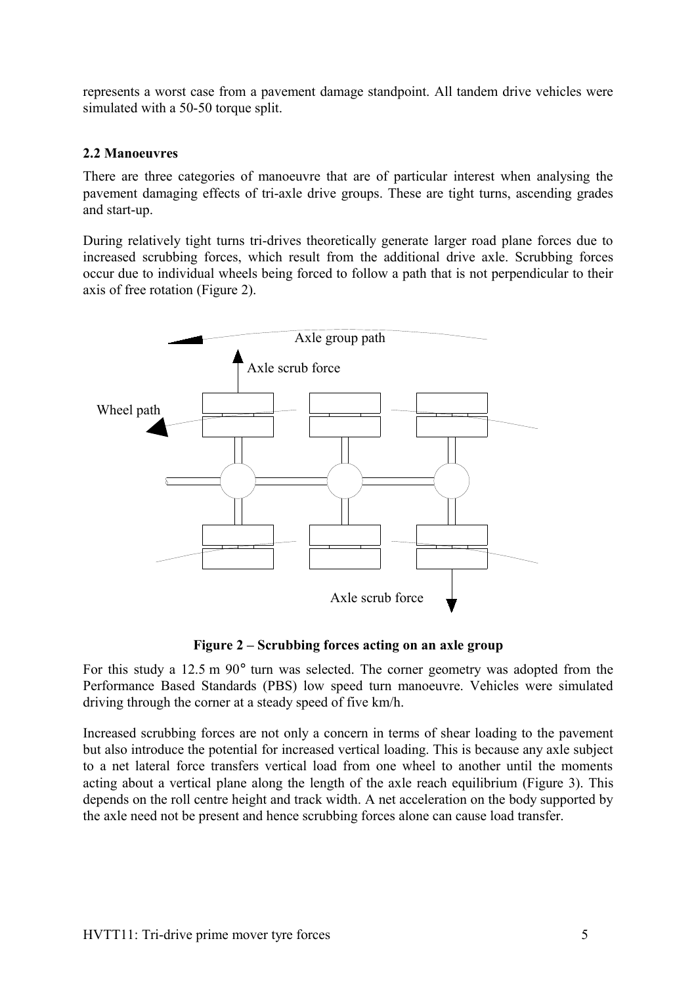represents a worst case from a pavement damage standpoint. All tandem drive vehicles were simulated with a 50-50 torque split.

## **2.2 Manoeuvres**

There are three categories of manoeuvre that are of particular interest when analysing the pavement damaging effects of tri-axle drive groups. These are tight turns, ascending grades and start-up.

During relatively tight turns tri-drives theoretically generate larger road plane forces due to increased scrubbing forces, which result from the additional drive axle. Scrubbing forces occur due to individual wheels being forced to follow a path that is not perpendicular to their axis of free rotation (Figure 2).



**Figure 2 – Scrubbing forces acting on an axle group**

For this study a 12.5 m 90° turn was selected. The corner geometry was adopted from the Performance Based Standards (PBS) low speed turn manoeuvre. Vehicles were simulated driving through the corner at a steady speed of five km/h.

Increased scrubbing forces are not only a concern in terms of shear loading to the pavement but also introduce the potential for increased vertical loading. This is because any axle subject to a net lateral force transfers vertical load from one wheel to another until the moments acting about a vertical plane along the length of the axle reach equilibrium (Figure 3). This depends on the roll centre height and track width. A net acceleration on the body supported by the axle need not be present and hence scrubbing forces alone can cause load transfer.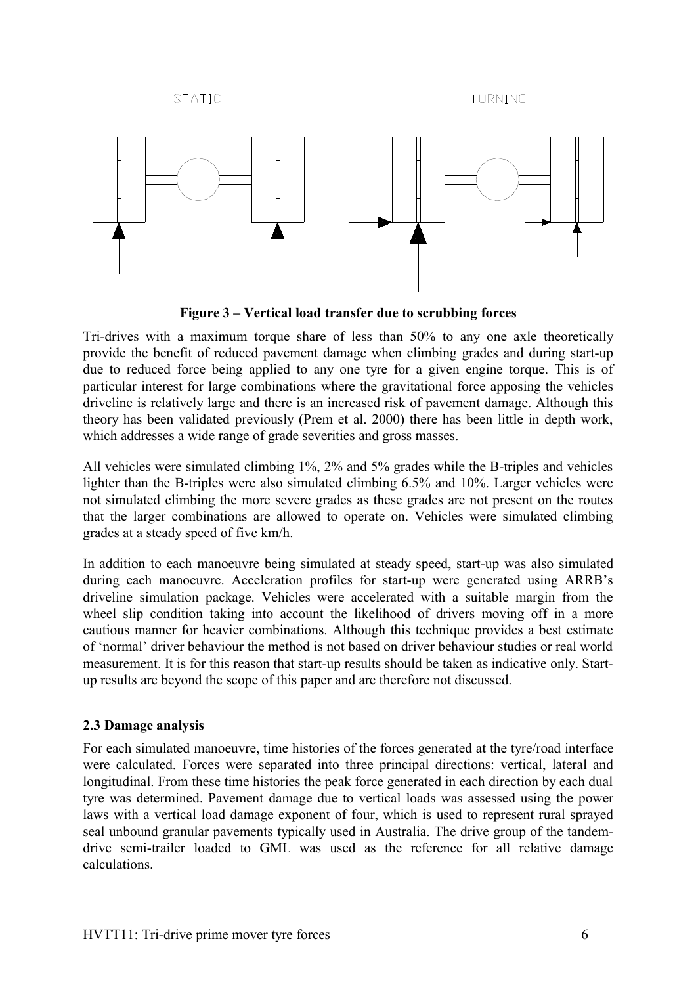**STATIC** 

TURNING



**Figure 3 – Vertical load transfer due to scrubbing forces**

Tri-drives with a maximum torque share of less than 50% to any one axle theoretically provide the benefit of reduced pavement damage when climbing grades and during start-up due to reduced force being applied to any one tyre for a given engine torque. This is of particular interest for large combinations where the gravitational force apposing the vehicles driveline is relatively large and there is an increased risk of pavement damage. Although this theory has been validated previously (Prem et al. 2000) there has been little in depth work, which addresses a wide range of grade severities and gross masses.

All vehicles were simulated climbing 1%, 2% and 5% grades while the B-triples and vehicles lighter than the B-triples were also simulated climbing 6.5% and 10%. Larger vehicles were not simulated climbing the more severe grades as these grades are not present on the routes that the larger combinations are allowed to operate on. Vehicles were simulated climbing grades at a steady speed of five km/h.

In addition to each manoeuvre being simulated at steady speed, start-up was also simulated during each manoeuvre. Acceleration profiles for start-up were generated using ARRB's driveline simulation package. Vehicles were accelerated with a suitable margin from the wheel slip condition taking into account the likelihood of drivers moving off in a more cautious manner for heavier combinations. Although this technique provides a best estimate of 'normal' driver behaviour the method is not based on driver behaviour studies or real world measurement. It is for this reason that start-up results should be taken as indicative only. Startup results are beyond the scope of this paper and are therefore not discussed.

# **2.3 Damage analysis**

For each simulated manoeuvre, time histories of the forces generated at the tyre/road interface were calculated. Forces were separated into three principal directions: vertical, lateral and longitudinal. From these time histories the peak force generated in each direction by each dual tyre was determined. Pavement damage due to vertical loads was assessed using the power laws with a vertical load damage exponent of four, which is used to represent rural sprayed seal unbound granular pavements typically used in Australia. The drive group of the tandemdrive semi-trailer loaded to GML was used as the reference for all relative damage calculations.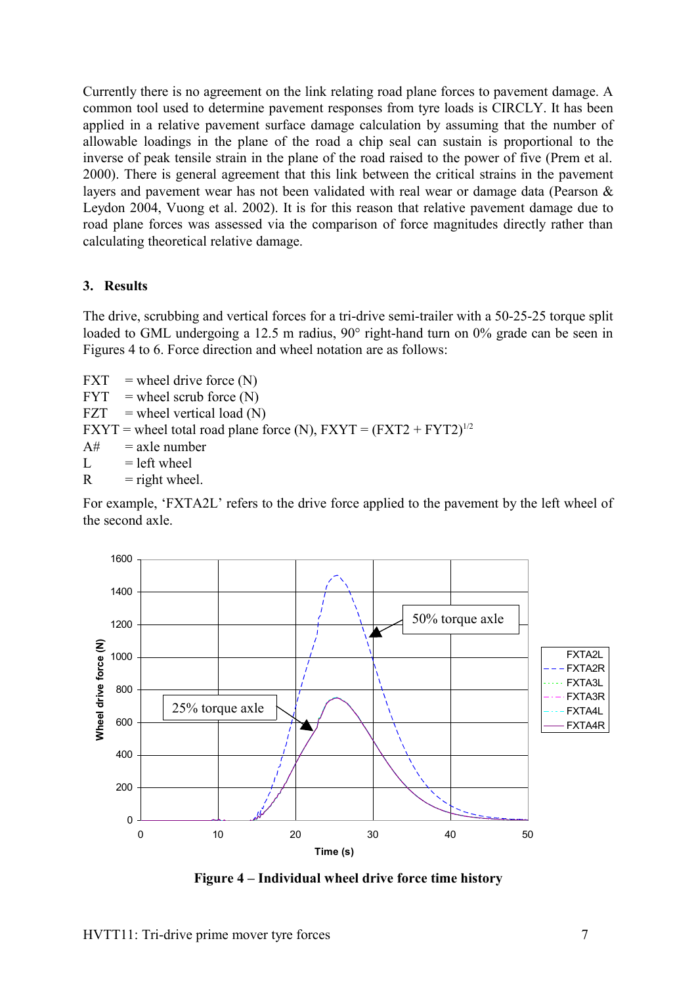Currently there is no agreement on the link relating road plane forces to pavement damage. A common tool used to determine pavement responses from tyre loads is CIRCLY. It has been applied in a relative pavement surface damage calculation by assuming that the number of allowable loadings in the plane of the road a chip seal can sustain is proportional to the inverse of peak tensile strain in the plane of the road raised to the power of five (Prem et al. 2000). There is general agreement that this link between the critical strains in the pavement layers and pavement wear has not been validated with real wear or damage data (Pearson & Leydon 2004, Vuong et al. 2002). It is for this reason that relative pavement damage due to road plane forces was assessed via the comparison of force magnitudes directly rather than calculating theoretical relative damage.

### **3. Results**

The drive, scrubbing and vertical forces for a tri-drive semi-trailer with a 50-25-25 torque split loaded to GML undergoing a 12.5 m radius, 90° right-hand turn on 0% grade can be seen in Figures 4 to 6. Force direction and wheel notation are as follows:

 $FXT =$  wheel drive force  $(N)$  $FYT =$  wheel scrub force  $(N)$  $FZT$  = wheel vertical load (N)  $FXYT = wheel total road plane force (N), FXYT = (FXT2 + FYT2)^{1/2}$  $A# =$ axle number  $L = left$  wheel  $R =$  right wheel.

For example, 'FXTA2L' refers to the drive force applied to the pavement by the left wheel of the second axle.



**Figure 4 – Individual wheel drive force time history**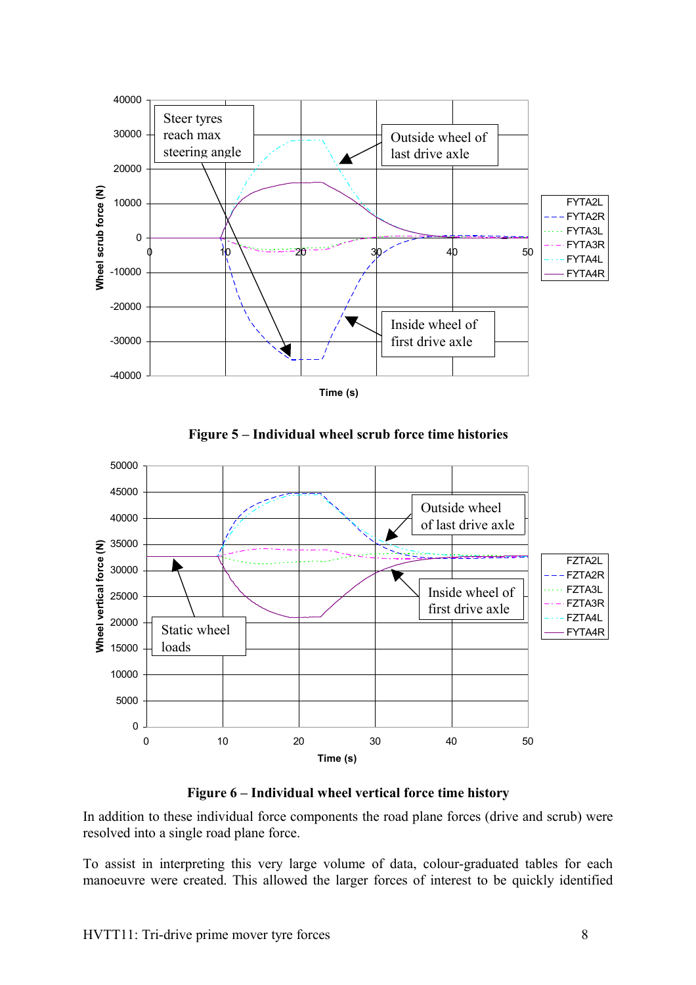





**Figure 6 – Individual wheel vertical force time history**

In addition to these individual force components the road plane forces (drive and scrub) were resolved into a single road plane force.

To assist in interpreting this very large volume of data, colour-graduated tables for each manoeuvre were created. This allowed the larger forces of interest to be quickly identified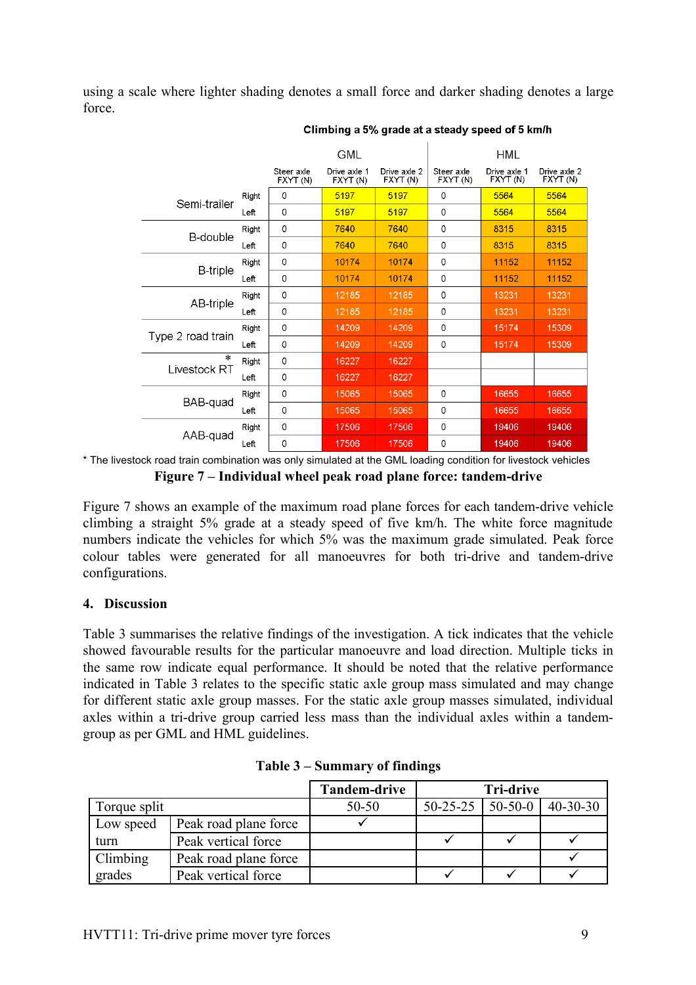using a scale where lighter shading denotes a small force and darker shading denotes a large force.

|                   |       | GML                    |                          | HML                      |                        |                          |                          |
|-------------------|-------|------------------------|--------------------------|--------------------------|------------------------|--------------------------|--------------------------|
|                   |       | Steer axle<br>FXYT (N) | Drive axle 1<br>FXYT (N) | Drive axle 2<br>FXYT (N) | Steer axle<br>FXYT (N) | Drive axle 1<br>FXYT (N) | Drive axle 2<br>FXYT (N) |
| Semi-trailer      | Right | $\Omega$               | 5197                     | 5197                     | 0                      | 5564                     | 5564                     |
|                   | Left  | $\Omega$               | 5197                     | 5197                     | 0                      | 5564                     | 5564                     |
| B-double          | Right | 0                      | 7640                     | 7640                     | 0                      | 8315                     | 8315                     |
|                   | Left  | 0                      | 7640                     | 7640                     | 0                      | 8315                     | 8315                     |
|                   | Right | 0                      | 10174                    | 10174                    | 0                      | 11152                    | 11152                    |
| <b>B-triple</b>   | Left  | $\mathbf 0$            | 10174                    | 10174                    | $\mathbf 0$            | 11152                    | 11152                    |
|                   | Right | 0                      | 12185                    | 12185                    | 0                      | 13231                    | 13231                    |
| AB-triple         | Left  | $\Omega$               | 12185                    | 12185                    | 0                      | 13231                    | 13231                    |
|                   | Right | 0                      | 14209                    | 14209                    | 0                      | 15174                    | 15309                    |
| Type 2 road train | Left  | 0                      | 14209                    | 14209                    | 0                      | 15174                    | 15309                    |
| $\ast$            | Right | $\mathbf 0$            | 16227                    | 16227                    |                        |                          |                          |
| Livestock RT      | Left  | $\mathbf 0$            | 16227                    | 16227                    |                        |                          |                          |
| BAB-quad          | Right | $\mathbf 0$            | 15065                    | 15065                    | 0                      | 16655                    | 16655                    |
|                   | Left  | 0                      | 15065                    | 15065                    | 0                      | 16655                    | 16655                    |
|                   | Right | 0                      | 17506                    | 17506                    | 0                      | 19406                    | 19406                    |
| AAB-quad          | Left  | $\mathbf 0$            | 17506                    | 17506                    | 0                      | 19406                    | 19406                    |

#### Climbing a 5% grade at a steady speed of 5 km/h

\* The livestock road train combination was only simulated at the GML loading condition for livestock vehicles **Figure 7 – Individual wheel peak road plane force: tandem-drive**

Figure 7 shows an example of the maximum road plane forces for each tandem-drive vehicle climbing a straight 5% grade at a steady speed of five km/h. The white force magnitude numbers indicate the vehicles for which 5% was the maximum grade simulated. Peak force colour tables were generated for all manoeuvres for both tri-drive and tandem-drive configurations.

### **4. Discussion**

[Table 3](#page-8-0) summarises the relative findings of the investigation. A tick indicates that the vehicle showed favourable results for the particular manoeuvre and load direction. Multiple ticks in the same row indicate equal performance. It should be noted that the relative performance indicated in [Table 3](#page-8-0) relates to the specific static axle group mass simulated and may change for different static axle group masses. For the static axle group masses simulated, individual axles within a tri-drive group carried less mass than the individual axles within a tandemgroup as per GML and HML guidelines.

|              |                       | <b>Tandem-drive</b> | <b>Tri-drive</b>     |  |                |  |
|--------------|-----------------------|---------------------|----------------------|--|----------------|--|
| Torque split |                       | $50 - 50$           | $50-25-25$   50-50-0 |  | $40 - 30 - 30$ |  |
| Low speed    | Peak road plane force |                     |                      |  |                |  |
| turn         | Peak vertical force   |                     |                      |  |                |  |
| Climbing     | Peak road plane force |                     |                      |  |                |  |
| grades       | Peak vertical force   |                     |                      |  |                |  |

<span id="page-8-0"></span>

|  |  | Table 3 – Summary of findings |  |  |
|--|--|-------------------------------|--|--|
|--|--|-------------------------------|--|--|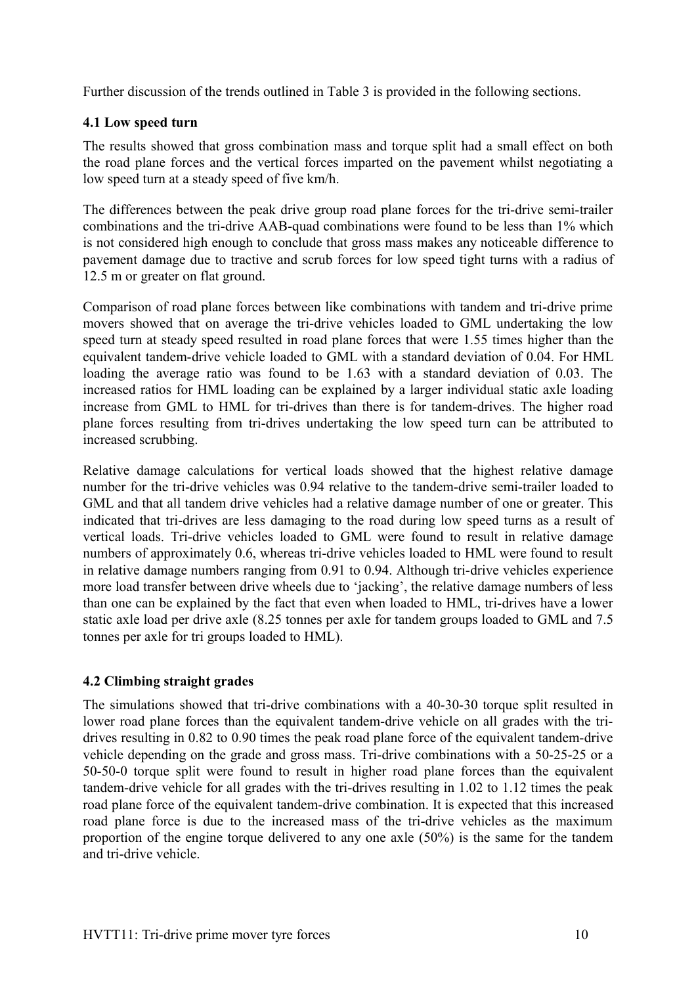Further discussion of the trends outlined in [Table 3](#page-8-0) is provided in the following sections.

## **4.1 Low speed turn**

The results showed that gross combination mass and torque split had a small effect on both the road plane forces and the vertical forces imparted on the pavement whilst negotiating a low speed turn at a steady speed of five km/h.

The differences between the peak drive group road plane forces for the tri-drive semi-trailer combinations and the tri-drive AAB-quad combinations were found to be less than 1% which is not considered high enough to conclude that gross mass makes any noticeable difference to pavement damage due to tractive and scrub forces for low speed tight turns with a radius of 12.5 m or greater on flat ground.

Comparison of road plane forces between like combinations with tandem and tri-drive prime movers showed that on average the tri-drive vehicles loaded to GML undertaking the low speed turn at steady speed resulted in road plane forces that were 1.55 times higher than the equivalent tandem-drive vehicle loaded to GML with a standard deviation of 0.04. For HML loading the average ratio was found to be 1.63 with a standard deviation of 0.03. The increased ratios for HML loading can be explained by a larger individual static axle loading increase from GML to HML for tri-drives than there is for tandem-drives. The higher road plane forces resulting from tri-drives undertaking the low speed turn can be attributed to increased scrubbing.

Relative damage calculations for vertical loads showed that the highest relative damage number for the tri-drive vehicles was 0.94 relative to the tandem-drive semi-trailer loaded to GML and that all tandem drive vehicles had a relative damage number of one or greater. This indicated that tri-drives are less damaging to the road during low speed turns as a result of vertical loads. Tri-drive vehicles loaded to GML were found to result in relative damage numbers of approximately 0.6, whereas tri-drive vehicles loaded to HML were found to result in relative damage numbers ranging from 0.91 to 0.94. Although tri-drive vehicles experience more load transfer between drive wheels due to 'jacking', the relative damage numbers of less than one can be explained by the fact that even when loaded to HML, tri-drives have a lower static axle load per drive axle (8.25 tonnes per axle for tandem groups loaded to GML and 7.5 tonnes per axle for tri groups loaded to HML).

# **4.2 Climbing straight grades**

The simulations showed that tri-drive combinations with a 40-30-30 torque split resulted in lower road plane forces than the equivalent tandem-drive vehicle on all grades with the tridrives resulting in 0.82 to 0.90 times the peak road plane force of the equivalent tandem-drive vehicle depending on the grade and gross mass. Tri-drive combinations with a 50-25-25 or a 50-50-0 torque split were found to result in higher road plane forces than the equivalent tandem-drive vehicle for all grades with the tri-drives resulting in 1.02 to 1.12 times the peak road plane force of the equivalent tandem-drive combination. It is expected that this increased road plane force is due to the increased mass of the tri-drive vehicles as the maximum proportion of the engine torque delivered to any one axle (50%) is the same for the tandem and tri-drive vehicle.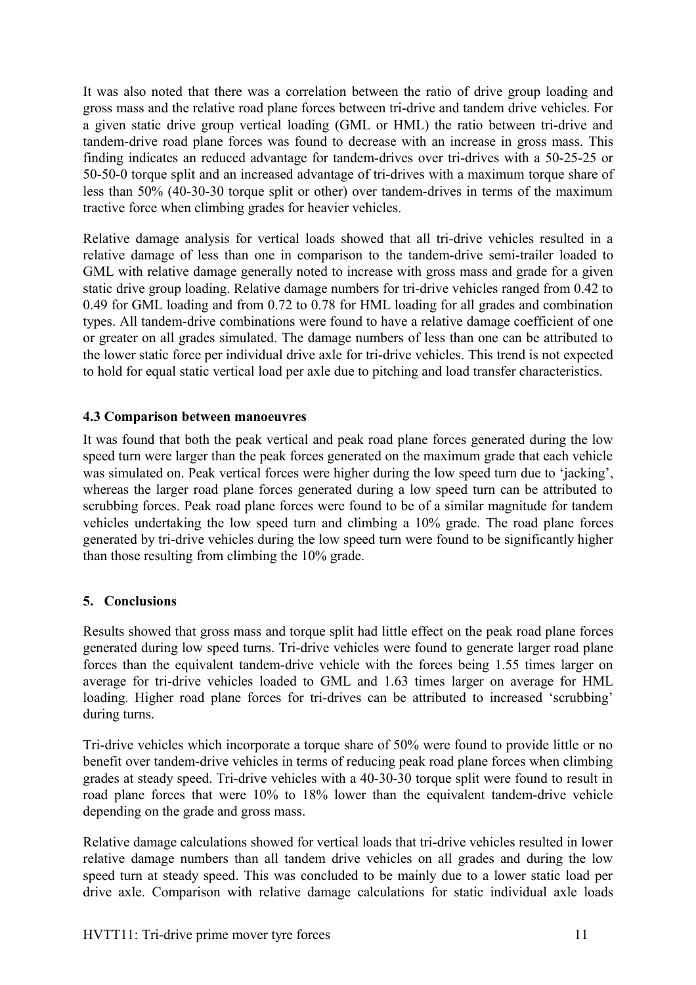It was also noted that there was a correlation between the ratio of drive group loading and gross mass and the relative road plane forces between tri-drive and tandem drive vehicles. For a given static drive group vertical loading (GML or HML) the ratio between tri-drive and tandem-drive road plane forces was found to decrease with an increase in gross mass. This finding indicates an reduced advantage for tandem-drives over tri-drives with a 50-25-25 or 50-50-0 torque split and an increased advantage of tri-drives with a maximum torque share of less than 50% (40-30-30 torque split or other) over tandem-drives in terms of the maximum tractive force when climbing grades for heavier vehicles.

Relative damage analysis for vertical loads showed that all tri-drive vehicles resulted in a relative damage of less than one in comparison to the tandem-drive semi-trailer loaded to GML with relative damage generally noted to increase with gross mass and grade for a given static drive group loading. Relative damage numbers for tri-drive vehicles ranged from 0.42 to 0.49 for GML loading and from 0.72 to 0.78 for HML loading for all grades and combination types. All tandem-drive combinations were found to have a relative damage coefficient of one or greater on all grades simulated. The damage numbers of less than one can be attributed to the lower static force per individual drive axle for tri-drive vehicles. This trend is not expected to hold for equal static vertical load per axle due to pitching and load transfer characteristics.

## **4.3 Comparison between manoeuvres**

It was found that both the peak vertical and peak road plane forces generated during the low speed turn were larger than the peak forces generated on the maximum grade that each vehicle was simulated on. Peak vertical forces were higher during the low speed turn due to 'jacking', whereas the larger road plane forces generated during a low speed turn can be attributed to scrubbing forces. Peak road plane forces were found to be of a similar magnitude for tandem vehicles undertaking the low speed turn and climbing a 10% grade. The road plane forces generated by tri-drive vehicles during the low speed turn were found to be significantly higher than those resulting from climbing the 10% grade.

# **5. Conclusions**

Results showed that gross mass and torque split had little effect on the peak road plane forces generated during low speed turns. Tri-drive vehicles were found to generate larger road plane forces than the equivalent tandem-drive vehicle with the forces being 1.55 times larger on average for tri-drive vehicles loaded to GML and 1.63 times larger on average for HML loading. Higher road plane forces for tri-drives can be attributed to increased 'scrubbing' during turns.

Tri-drive vehicles which incorporate a torque share of 50% were found to provide little or no benefit over tandem-drive vehicles in terms of reducing peak road plane forces when climbing grades at steady speed. Tri-drive vehicles with a 40-30-30 torque split were found to result in road plane forces that were 10% to 18% lower than the equivalent tandem-drive vehicle depending on the grade and gross mass.

Relative damage calculations showed for vertical loads that tri-drive vehicles resulted in lower relative damage numbers than all tandem drive vehicles on all grades and during the low speed turn at steady speed. This was concluded to be mainly due to a lower static load per drive axle. Comparison with relative damage calculations for static individual axle loads